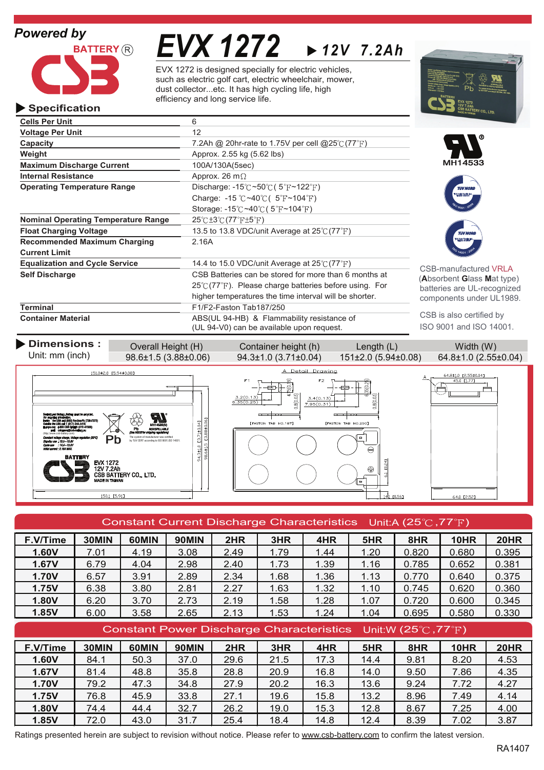# *Powered by*

**Specification**



**Operating Temperature Range**

**Current Limit**

**Cells Per Unit** 6 **Voltage Per Unit** 12

*EVX 1272 12V 7.2Ah*

EVX 1272 is designed specially for electric vehicles, such as electric golf cart, electric wheelchair, mower, dust collector...etc. It has high cycling life, high efficiency and long service life.

> Discharge:  $-15^{\circ}$ C ~50 $^{\circ}$ C (5 $^{\circ}$ F ~122 $^{\circ}$ F) Charge:  $-15$  °C ~40 °C ( $5$ °F ~104 °F) Storage: -15 $\degree$ C ~40 $\degree$ C (5 $\degree$ F ~104 $\degree$ F)

**Capacity Capacity 7.2Ah @ 20hr-rate to 1.75V per cell @25°C (77°F)** 

**Float Charging Voltage** 13.5 to 13.8 VDC/unit Average at 25°C (77°F)

**Equalization and Cycle Service** 14.4 to 15.0 VDC/unit Average at 25°C (77°F)

**Container Material** ABS(UL 94-HB) & Flammability resistance of

**Self Discharge** CSB Batteries can be stored for more than 6 months at

**Weight Approx.** 2.55 kg (5.62 lbs)

**Maximum Discharge Current** 100A/130A(5sec) **Internal Resistance** Approx. 26 m $\Omega$ 

**Nominal Operating Temperature Range 25°C ±3°C (77°F ±5°F)** 

**Terminal** F1/F2-Faston Tab187/250

**Recommended Maximum Charging** 2.16A







CSB-manufactured VRLA (**A**bsorbent **G**lass **M**at type) batteries are UL-recognized components under UL1989.

CSB is also certified by ISO 9001 and ISO 14001.



 $25^{\circ}$  (77 $^{\circ}$ F). Please charge batteries before using. For higher temperatures the time interval will be shorter.

| Constant Current Discharge Characteristics Unit:A (25 $\degree$ C, 77 $\degree$ F)          |       |       |              |      |      |      |      |       |             |             |  |  |
|---------------------------------------------------------------------------------------------|-------|-------|--------------|------|------|------|------|-------|-------------|-------------|--|--|
| F.V/Time                                                                                    | 30MIN | 60MIN | 90MIN        | 2HR  | 3HR  | 4HR  | 5HR  | 8HR   | 10HR        | <b>20HR</b> |  |  |
| 1.60V                                                                                       | 7.01  | 4.19  | 3.08         | 2.49 | 1.79 | 1.44 | 1.20 | 0.820 | 0.680       | 0.395       |  |  |
| 1.67V                                                                                       | 6.79  | 4.04  | 2.98         | 2.40 | 1.73 | 1.39 | 1.16 | 0.785 | 0.652       | 0.381       |  |  |
| 1.70V                                                                                       | 6.57  | 3.91  | 2.89         | 2.34 | 1.68 | 1.36 | 1.13 | 0.770 | 0.640       | 0.375       |  |  |
| 1.75V                                                                                       | 6.38  | 3.80  | 2.81         | 2.27 | 1.63 | 1.32 | 1.10 | 0.745 | 0.620       | 0.360       |  |  |
| 1.80V                                                                                       | 6.20  | 3.70  | 2.73         | 2.19 | 1.58 | 1.28 | 1.07 | 0.720 | 0.600       | 0.345       |  |  |
| 1.85V                                                                                       | 6.00  | 3.58  | 2.65         | 2.13 | 1.53 | 1.24 | 1.04 | 0.695 | 0.580       | 0.330       |  |  |
| <b>Constant Power Discharge Characteristics</b><br>Unit:W $(25^{\circ}$ C, 77 $^{\circ}$ F) |       |       |              |      |      |      |      |       |             |             |  |  |
| F.V/Time                                                                                    | 30MIN | 60MIN | <b>90MIN</b> | 2HR  | 3HR  | 4HR  | 5HR  | 8HR   | <b>10HR</b> | <b>20HR</b> |  |  |
| 1.60V                                                                                       | 84.1  | 50.3  | 37.0         | 29.6 | 21.5 | 17.3 | 14.4 | 9.81  | 8.20        | 4.53        |  |  |
| 1.67V                                                                                       | 81.4  | 48.8  | 35.8         | 28.8 | 20.9 | 16.8 | 14.0 | 9.50  | 7.86        | 4.35        |  |  |
| 1.70V                                                                                       | 79.2  | 47.3  | 34.8         | 27.9 | 20.2 | 16.3 | 13.6 | 9.24  | 7.72        | 4.27        |  |  |
| 1.75V                                                                                       | 76.8  | 45.9  | 33.8         | 27.1 | 19.6 | 15.8 | 13.2 | 8.96  | 7.49        | 4.14        |  |  |
| 1.80V                                                                                       | 74.4  | 44.4  | 32.7         | 26.2 | 19.0 | 15.3 | 12.8 | 8.67  | 7.25        | 4.00        |  |  |
| 1.85V                                                                                       | 72.0  | 43.0  | 31.7         | 25.4 | 18.4 | 14.8 | 12.4 | 8.39  | 7.02        | 3.87        |  |  |

Ratings presented herein are subject to revision without notice. Please refer to www.csb-battery.com to confirm the latest version.